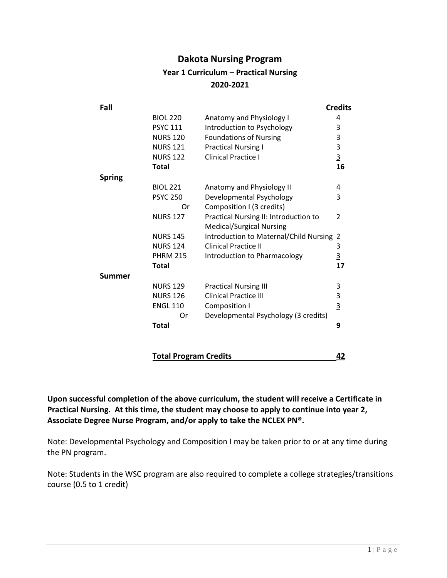## **Dakota Nursing Program Year 1 Curriculum – Practical Nursing 2020-2021**

| Fall          |                 |                                          | <b>Credits</b> |
|---------------|-----------------|------------------------------------------|----------------|
|               | <b>BIOL 220</b> | Anatomy and Physiology I                 | 4              |
|               | <b>PSYC 111</b> | Introduction to Psychology               | 3              |
|               | <b>NURS 120</b> | <b>Foundations of Nursing</b>            | 3              |
|               | <b>NURS 121</b> | <b>Practical Nursing I</b>               | 3              |
|               | <b>NURS 122</b> | <b>Clinical Practice I</b>               | $\overline{3}$ |
| <b>Total</b>  |                 |                                          | 16             |
| <b>Spring</b> |                 |                                          |                |
|               | <b>BIOL 221</b> | Anatomy and Physiology II                | 4              |
|               | <b>PSYC 250</b> | Developmental Psychology                 | 3              |
|               | 0r              | Composition I (3 credits)                |                |
|               | <b>NURS 127</b> | Practical Nursing II: Introduction to    | 2              |
|               |                 | <b>Medical/Surgical Nursing</b>          |                |
|               | <b>NURS 145</b> | Introduction to Maternal/Child Nursing 2 |                |
|               | <b>NURS 124</b> | <b>Clinical Practice II</b>              | 3              |
|               | <b>PHRM 215</b> | Introduction to Pharmacology             | $\overline{3}$ |
| <b>Total</b>  |                 |                                          | 17             |
| <b>Summer</b> |                 |                                          |                |
|               | <b>NURS 129</b> | <b>Practical Nursing III</b>             | 3              |
|               | <b>NURS 126</b> | <b>Clinical Practice III</b>             | 3              |
|               | <b>ENGL 110</b> | Composition I                            | $\overline{3}$ |
|               | Or              | Developmental Psychology (3 credits)     |                |
| <b>Total</b>  |                 |                                          | 9              |
|               |                 |                                          |                |

**Total Program Credits 42**

**Upon successful completion of the above curriculum, the student will receive a Certificate in Practical Nursing. At this time, the student may choose to apply to continue into year 2, Associate Degree Nurse Program, and/or apply to take the NCLEX PN®.**

Note: Developmental Psychology and Composition I may be taken prior to or at any time during the PN program.

Note: Students in the WSC program are also required to complete a college strategies/transitions course (0.5 to 1 credit)